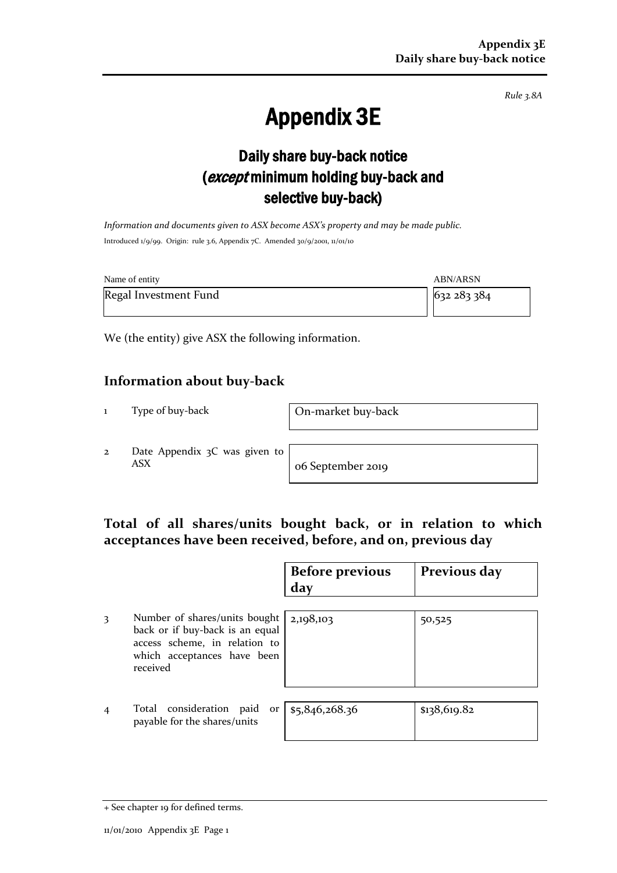*Rule 3.8A*

# Appendix 3E

## Daily share buy-back notice (except minimum holding buy-back and selective buy-back)

*Information and documents given to ASX become ASX's property and may be made public.* Introduced 1/9/99. Origin: rule 3.6, Appendix 7C. Amended 30/9/2001, 11/01/10

| Name of entity        | <b>ABN/ARSN</b> |
|-----------------------|-----------------|
| Regal Investment Fund | 632 283 384     |

We (the entity) give ASX the following information.

#### **Information about buy-back**

1 Type of buy-back On-market buy-back

2 Date Appendix 3C was given to ASX o6 September 2019

#### **Total of all shares/units bought back, or in relation to which acceptances have been received, before, and on, previous day**

|                |                                                                                                                                              | <b>Before previous</b><br>day | Previous day |
|----------------|----------------------------------------------------------------------------------------------------------------------------------------------|-------------------------------|--------------|
| 3              | Number of shares/units bought<br>back or if buy-back is an equal<br>access scheme, in relation to<br>which acceptances have been<br>received | 2,198,103                     | 50,525       |
| $\overline{4}$ | Total consideration paid<br>or<br>payable for the shares/units                                                                               | \$5,846,268.36                | \$138,619.82 |

<sup>+</sup> See chapter 19 for defined terms.